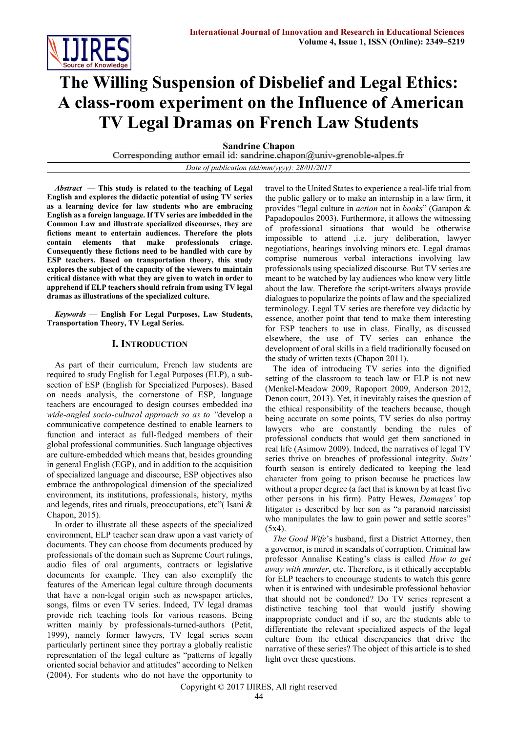

# **The Willing Suspension of Disbelief and Legal Ethics: A class-room experiment on the Influence of American TV Legal Dramas on French Law Students**

**Sandrine Chapon**<br>Corresponding author email id: sandrine.chapon@univ-grenoble-alpes.fr

*Date of publication (dd/mm/yyyy): 28/01/2017*

*Abstract* **— This study is related to the teaching of Legal English and explores the didactic potential of using TV series as a learning device for law students who are embracing English as a foreign language. If TV series are imbedded in the Common Law and illustrate specialized discourses, they are fictions meant to entertain audiences. Therefore the plots contain elements that make professionals cringe. Consequently these fictions need to be handled with care by ESP teachers. Based on transportation theory, this study explores the subject of the capacity of the viewers to maintain critical distance with what they are given to watch in order to apprehend if ELP teachers should refrain from using TV legal dramas as illustrations of the specialized culture.** 

*Keywords* **— English For Legal Purposes, Law Students, Transportation Theory, TV Legal Series.** 

# **I. INTRODUCTION**

As part of their curriculum, French law students are required to study English for Legal Purposes (ELP), a subsection of ESP (English for Specialized Purposes). Based on needs analysis, the cornerstone of ESP, language teachers are encouraged to design courses embedded in*a wide-angled socio-cultural approach so as to "*develop a communicative competence destined to enable learners to function and interact as full-fledged members of their global professional communities. Such language objectives are culture-embedded which means that, besides grounding in general English (EGP), and in addition to the acquisition of specialized language and discourse, ESP objectives also embrace the anthropological dimension of the specialized environment, its institutions, professionals, history, myths and legends, rites and rituals, preoccupations, etc"( Isani & Chapon, 2015).

In order to illustrate all these aspects of the specialized environment, ELP teacher scan draw upon a vast variety of documents. They can choose from documents produced by professionals of the domain such as Supreme Court rulings, audio files of oral arguments, contracts or legislative documents for example. They can also exemplify the features of the American legal culture through documents that have a non-legal origin such as newspaper articles, songs, films or even TV series. Indeed, TV legal dramas provide rich teaching tools for various reasons. Being written mainly by professionals-turned-authors (Petit, 1999), namely former lawyers, TV legal series seem particularly pertinent since they portray a globally realistic representation of the legal culture as "patterns of legally oriented social behavior and attitudes" according to Nelken (2004). For students who do not have the opportunity to

travel to the United States to experience a real-life trial from the public gallery or to make an internship in a law firm, it provides "legal culture in *action* not in *books*" (Garapon & Papadopoulos 2003). Furthermore, it allows the witnessing of professional situations that would be otherwise impossible to attend ,i.e. jury deliberation, lawyer negotiations, hearings involving minors etc. Legal dramas comprise numerous verbal interactions involving law professionals using specialized discourse. But TV series are meant to be watched by lay audiences who know very little about the law. Therefore the script-writers always provide dialogues to popularize the points of law and the specialized terminology. Legal TV series are therefore vey didactic by essence, another point that tend to make them interesting for ESP teachers to use in class. Finally, as discussed elsewhere, the use of TV series can enhance the development of oral skills in a field traditionally focused on the study of written texts (Chapon 2011).

The idea of introducing TV series into the dignified setting of the classroom to teach law or ELP is not new (Menkel-Meadow 2009, Rapoport 2009, Anderson 2012, Denon court, 2013). Yet, it inevitably raises the question of the ethical responsibility of the teachers because, though being accurate on some points, TV series do also portray lawyers who are constantly bending the rules of professional conducts that would get them sanctioned in real life (Asimow 2009). Indeed, the narratives of legal TV series thrive on breaches of professional integrity. *Suits'* fourth season is entirely dedicated to keeping the lead character from going to prison because he practices law without a proper degree (a fact that is known by at least five other persons in his firm). Patty Hewes, *Damages'* top litigator is described by her son as "a paranoid narcissist who manipulates the law to gain power and settle scores" (5x4).

*The Good Wife*'s husband, first a District Attorney, then a governor, is mired in scandals of corruption. Criminal law professor Annalise Keating's class is called *How to get away with murder*, etc. Therefore, is it ethically acceptable for ELP teachers to encourage students to watch this genre when it is entwined with undesirable professional behavior that should not be condoned? Do TV series represent a distinctive teaching tool that would justify showing inappropriate conduct and if so, are the students able to differentiate the relevant specialized aspects of the legal culture from the ethical discrepancies that drive the narrative of these series? The object of this article is to shed light over these questions.

Copyright © 2017 IJIRES, All right reserved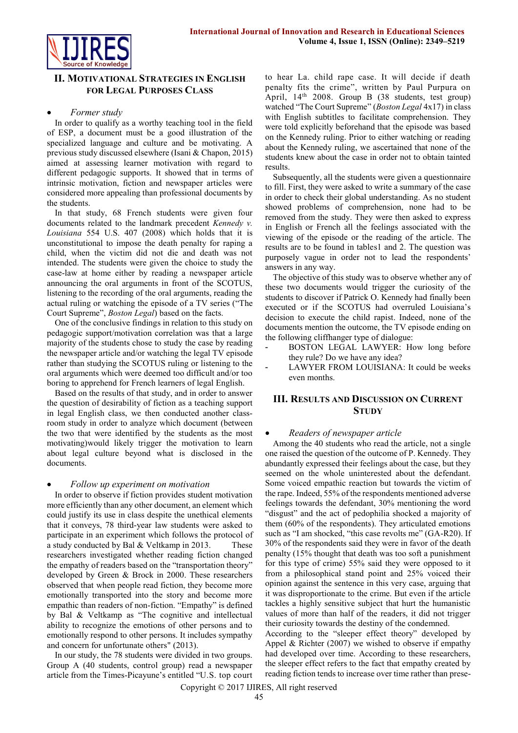

# **II. MOTIVATIONAL STRATEGIES IN ENGLISH FOR LEGAL PURPOSES CLASS**

### *Former study*

In order to qualify as a worthy teaching tool in the field of ESP, a document must be a good illustration of the specialized language and culture and be motivating. A previous study discussed elsewhere (Isani & Chapon, 2015) aimed at assessing learner motivation with regard to different pedagogic supports. It showed that in terms of intrinsic motivation, fiction and newspaper articles were considered more appealing than professional documents by the students.

In that study, 68 French students were given four documents related to the landmark precedent *Kennedy v. Louisiana* 554 U.S. 407 (2008) which holds that it is unconstitutional to impose the death penalty for raping a child, when the victim did not die and death was not intended. The students were given the choice to study the case-law at home either by reading a newspaper article announcing the oral arguments in front of the SCOTUS, listening to the recording of the oral arguments, reading the actual ruling or watching the episode of a TV series ("The Court Supreme", *Boston Legal*) based on the facts.

One of the conclusive findings in relation to this study on pedagogic support/motivation correlation was that a large majority of the students chose to study the case by reading the newspaper article and/or watching the legal TV episode rather than studying the SCOTUS ruling or listening to the oral arguments which were deemed too difficult and/or too boring to apprehend for French learners of legal English.

Based on the results of that study, and in order to answer the question of desirability of fiction as a teaching support in legal English class, we then conducted another classroom study in order to analyze which document (between the two that were identified by the students as the most motivating)would likely trigger the motivation to learn about legal culture beyond what is disclosed in the documents.

#### *Follow up experiment on motivation*

In order to observe if fiction provides student motivation more efficiently than any other document, an element which could justify its use in class despite the unethical elements that it conveys, 78 third-year law students were asked to participate in an experiment which follows the protocol of a study conducted by Bal & Veltkamp in 2013. These researchers investigated whether reading fiction changed the empathy of readers based on the "transportation theory" developed by Green & Brock in 2000. These researchers observed that when people read fiction, they become more emotionally transported into the story and become more empathic than readers of non-fiction. "Empathy" is defined by Bal & Veltkamp as "The cognitive and intellectual ability to recognize the emotions of other persons and to emotionally respond to other persons. It includes sympathy and concern for unfortunate others" (2013).

In our study, the 78 students were divided in two groups. Group A (40 students, control group) read a newspaper article from the Times-Picayune's entitled "U.S. top court to hear La. child rape case. It will decide if death penalty fits the crime", written by Paul Purpura on April, 14th 2008. Group B (38 students, test group) watched "The Court Supreme" (*Boston Legal* 4x17) in class with English subtitles to facilitate comprehension. They were told explicitly beforehand that the episode was based on the Kennedy ruling. Prior to either watching or reading about the Kennedy ruling, we ascertained that none of the students knew about the case in order not to obtain tainted results.

Subsequently, all the students were given a questionnaire to fill. First, they were asked to write a summary of the case in order to check their global understanding. As no student showed problems of comprehension, none had to be removed from the study. They were then asked to express in English or French all the feelings associated with the viewing of the episode or the reading of the article. The results are to be found in tables1 and 2. The question was purposely vague in order not to lead the respondents' answers in any way.

The objective of this study was to observe whether any of these two documents would trigger the curiosity of the students to discover if Patrick O. Kennedy had finally been executed or if the SCOTUS had overruled Louisiana's decision to execute the child rapist. Indeed, none of the documents mention the outcome, the TV episode ending on the following cliffhanger type of dialogue:

- BOSTON LEGAL LAWYER: How long before they rule? Do we have any idea?
- LAWYER FROM LOUISIANA: It could be weeks even months.

# **III. RESULTS AND DISCUSSION ON CURRENT STUDY**

## *Readers of newspaper article*

Among the 40 students who read the article, not a single one raised the question of the outcome of P. Kennedy. They abundantly expressed their feelings about the case, but they seemed on the whole uninterested about the defendant. Some voiced empathic reaction but towards the victim of the rape. Indeed, 55% of the respondents mentioned adverse feelings towards the defendant, 30% mentioning the word "disgust" and the act of pedophilia shocked a majority of them (60% of the respondents). They articulated emotions such as "I am shocked, "this case revolts me" (GA-R20). If 30% of the respondents said they were in favor of the death penalty (15% thought that death was too soft a punishment for this type of crime) 55% said they were opposed to it from a philosophical stand point and 25% voiced their opinion against the sentence in this very case, arguing that it was disproportionate to the crime. But even if the article tackles a highly sensitive subject that hurt the humanistic values of more than half of the readers, it did not trigger their curiosity towards the destiny of the condemned.

According to the "sleeper effect theory" developed by Appel & Richter (2007) we wished to observe if empathy had developed over time. According to these researchers, the sleeper effect refers to the fact that empathy created by reading fiction tends to increase over time rather than prese-

Copyright © 2017 IJIRES, All right reserved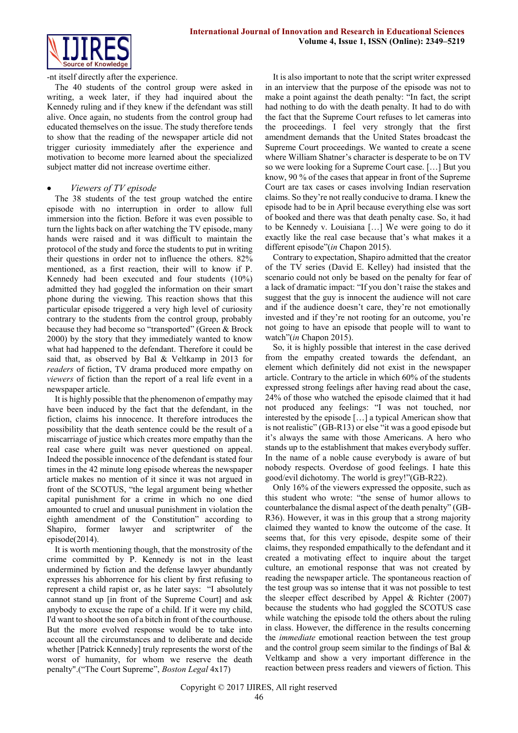

-nt itself directly after the experience.

The 40 students of the control group were asked in writing, a week later, if they had inquired about the Kennedy ruling and if they knew if the defendant was still alive. Once again, no students from the control group had educated themselves on the issue. The study therefore tends to show that the reading of the newspaper article did not trigger curiosity immediately after the experience and motivation to become more learned about the specialized subject matter did not increase overtime either.

### *Viewers of TV episode*

The 38 students of the test group watched the entire episode with no interruption in order to allow full immersion into the fiction. Before it was even possible to turn the lights back on after watching the TV episode, many hands were raised and it was difficult to maintain the protocol of the study and force the students to put in writing their questions in order not to influence the others. 82% mentioned, as a first reaction, their will to know if P. Kennedy had been executed and four students (10%) admitted they had goggled the information on their smart phone during the viewing. This reaction shows that this particular episode triggered a very high level of curiosity contrary to the students from the control group, probably because they had become so "transported" (Green & Brock 2000) by the story that they immediately wanted to know what had happened to the defendant. Therefore it could be said that, as observed by Bal & Veltkamp in 2013 for *readers* of fiction, TV drama produced more empathy on *viewers* of fiction than the report of a real life event in a newspaper article.

It is highly possible that the phenomenon of empathy may have been induced by the fact that the defendant, in the fiction, claims his innocence. It therefore introduces the possibility that the death sentence could be the result of a miscarriage of justice which creates more empathy than the real case where guilt was never questioned on appeal. Indeed the possible innocence of the defendant is stated four times in the 42 minute long episode whereas the newspaper article makes no mention of it since it was not argued in front of the SCOTUS, "the legal argument being whether capital punishment for a crime in which no one died amounted to cruel and unusual punishment in violation the eighth amendment of the Constitution" according to Shapiro, former lawyer and scriptwriter of the episode(2014).

It is worth mentioning though, that the monstrosity of the crime committed by P. Kennedy is not in the least undermined by fiction and the defense lawyer abundantly expresses his abhorrence for his client by first refusing to represent a child rapist or, as he later says: "I absolutely cannot stand up [in front of the Supreme Court] and ask anybody to excuse the rape of a child. If it were my child, I'd want to shoot the son of a bitch in front of the courthouse. But the more evolved response would be to take into account all the circumstances and to deliberate and decide whether [Patrick Kennedy] truly represents the worst of the worst of humanity, for whom we reserve the death penalty".("The Court Supreme", *Boston Legal* 4x17)

It is also important to note that the script writer expressed in an interview that the purpose of the episode was not to make a point against the death penalty: "In fact, the script had nothing to do with the death penalty. It had to do with the fact that the Supreme Court refuses to let cameras into the proceedings. I feel very strongly that the first amendment demands that the United States broadcast the Supreme Court proceedings. We wanted to create a scene where William Shatner's character is desperate to be on TV so we were looking for a Supreme Court case. […] But you know, 90 % of the cases that appear in front of the Supreme Court are tax cases or cases involving Indian reservation claims. So they're not really conducive to drama. I knew the episode had to be in April because everything else was sort of booked and there was that death penalty case. So, it had to be Kennedy v. Louisiana […] We were going to do it exactly like the real case because that's what makes it a different episode"(*in* Chapon 2015).

Contrary to expectation, Shapiro admitted that the creator of the TV series (David E. Kelley) had insisted that the scenario could not only be based on the penalty for fear of a lack of dramatic impact: "If you don't raise the stakes and suggest that the guy is innocent the audience will not care and if the audience doesn't care, they're not emotionally invested and if they're not rooting for an outcome, you're not going to have an episode that people will to want to watch"(*in* Chapon 2015).

So, it is highly possible that interest in the case derived from the empathy created towards the defendant, an element which definitely did not exist in the newspaper article. Contrary to the article in which 60% of the students expressed strong feelings after having read about the case, 24% of those who watched the episode claimed that it had not produced any feelings: "I was not touched, nor interested by the episode […] a typical American show that is not realistic" (GB-R13) or else "it was a good episode but it's always the same with those Americans. A hero who stands up to the establishment that makes everybody suffer. In the name of a noble cause everybody is aware of but nobody respects. Overdose of good feelings. I hate this good/evil dichotomy. The world is grey!"(GB-R22).

Only 16% of the viewers expressed the opposite, such as this student who wrote: "the sense of humor allows to counterbalance the dismal aspect of the death penalty" (GB-R36). However, it was in this group that a strong majority claimed they wanted to know the outcome of the case. It seems that, for this very episode, despite some of their claims, they responded empathically to the defendant and it created a motivating effect to inquire about the target culture, an emotional response that was not created by reading the newspaper article. The spontaneous reaction of the test group was so intense that it was not possible to test the sleeper effect described by Appel & Richter (2007) because the students who had goggled the SCOTUS case while watching the episode told the others about the ruling in class. However, the difference in the results concerning the *immediate* emotional reaction between the test group and the control group seem similar to the findings of Bal & Veltkamp and show a very important difference in the reaction between press readers and viewers of fiction. This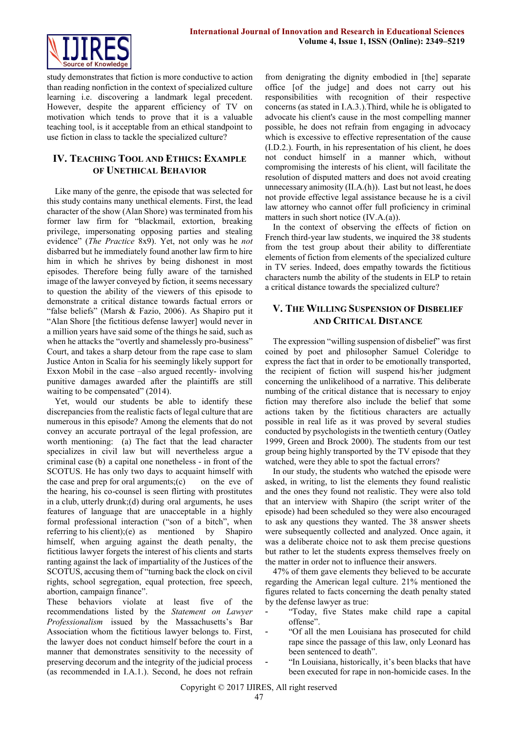

study demonstrates that fiction is more conductive to action than reading nonfiction in the context of specialized culture learning i.e. discovering a landmark legal precedent. However, despite the apparent efficiency of TV on motivation which tends to prove that it is a valuable teaching tool, is it acceptable from an ethical standpoint to use fiction in class to tackle the specialized culture?

# **IV. TEACHING TOOL AND ETHICS: EXAMPLE OF UNETHICAL BEHAVIOR**

Like many of the genre, the episode that was selected for this study contains many unethical elements. First, the lead character of the show (Alan Shore) was terminated from his former law firm for "blackmail, extortion, breaking privilege, impersonating opposing parties and stealing evidence" (*The Practice* 8x9). Yet, not only was he *not* disbarred but he immediately found another law firm to hire him in which he shrives by being dishonest in most episodes. Therefore being fully aware of the tarnished image of the lawyer conveyed by fiction, it seems necessary to question the ability of the viewers of this episode to demonstrate a critical distance towards factual errors or "false beliefs" (Marsh & Fazio, 2006). As Shapiro put it "Alan Shore [the fictitious defense lawyer] would never in a million years have said some of the things he said, such as when he attacks the "overtly and shamelessly pro-business" Court, and takes a sharp detour from the rape case to slam Justice Anton in Scalia for his seemingly likely support for Exxon Mobil in the case –also argued recently- involving punitive damages awarded after the plaintiffs are still waiting to be compensated" (2014).

Yet, would our students be able to identify these discrepancies from the realistic facts of legal culture that are numerous in this episode? Among the elements that do not convey an accurate portrayal of the legal profession, are worth mentioning: (a) The fact that the lead character specializes in civil law but will nevertheless argue a criminal case (b) a capital one nonetheless - in front of the SCOTUS. He has only two days to acquaint himself with the case and prep for oral arguments; $(c)$  on the eve of the hearing, his co-counsel is seen flirting with prostitutes in a club, utterly drunk;(d) during oral arguments, he uses features of language that are unacceptable in a highly formal professional interaction ("son of a bitch", when referring to his client);(e) as mentioned by Shapiro himself, when arguing against the death penalty, the fictitious lawyer forgets the interest of his clients and starts ranting against the lack of impartiality of the Justices of the SCOTUS, accusing them of "turning back the clock on civil rights, school segregation, equal protection, free speech, abortion, campaign finance".

These behaviors violate at least five of the recommendations listed by the *Statement on Lawyer Professionalism* issued by the Massachusetts's Bar Association whom the fictitious lawyer belongs to. First, the lawyer does not conduct himself before the court in a manner that demonstrates sensitivity to the necessity of preserving decorum and the integrity of the judicial process (as recommended in I.A.1.). Second, he does not refrain

from denigrating the dignity embodied in [the] separate office [of the judge] and does not carry out his responsibilities with recognition of their respective concerns (as stated in I.A.3.).Third, while he is obligated to advocate his client's cause in the most compelling manner possible, he does not refrain from engaging in advocacy which is excessive to effective representation of the cause (I.D.2.). Fourth, in his representation of his client, he does not conduct himself in a manner which, without compromising the interests of his client, will facilitate the resolution of disputed matters and does not avoid creating unnecessary animosity (II.A.(h)). Last but not least, he does not provide effective legal assistance because he is a civil law attorney who cannot offer full proficiency in criminal matters in such short notice (IV.A.(a)).

In the context of observing the effects of fiction on French third-year law students, we inquired the 38 students from the test group about their ability to differentiate elements of fiction from elements of the specialized culture in TV series. Indeed, does empathy towards the fictitious characters numb the ability of the students in ELP to retain a critical distance towards the specialized culture?

# **V. THE WILLING SUSPENSION OF DISBELIEF AND CRITICAL DISTANCE**

The expression "willing suspension of disbelief" was first coined by poet and philosopher Samuel Coleridge to express the fact that in order to be emotionally transported, the recipient of fiction will suspend his/her judgment concerning the unlikelihood of a narrative. This deliberate numbing of the critical distance that is necessary to enjoy fiction may therefore also include the belief that some actions taken by the fictitious characters are actually possible in real life as it was proved by several studies conducted by psychologists in the twentieth century (Oatley 1999, Green and Brock 2000). The students from our test group being highly transported by the TV episode that they watched, were they able to spot the factual errors?

In our study, the students who watched the episode were asked, in writing, to list the elements they found realistic and the ones they found not realistic. They were also told that an interview with Shapiro (the script writer of the episode) had been scheduled so they were also encouraged to ask any questions they wanted. The 38 answer sheets were subsequently collected and analyzed. Once again, it was a deliberate choice not to ask them precise questions but rather to let the students express themselves freely on the matter in order not to influence their answers.

47% of them gave elements they believed to be accurate regarding the American legal culture. 21% mentioned the figures related to facts concerning the death penalty stated by the defense lawyer as true:

- "Today, five States make child rape a capital offense".
- "Of all the men Louisiana has prosecuted for child rape since the passage of this law, only Leonard has been sentenced to death".

"In Louisiana, historically, it's been blacks that have been executed for rape in non-homicide cases. In the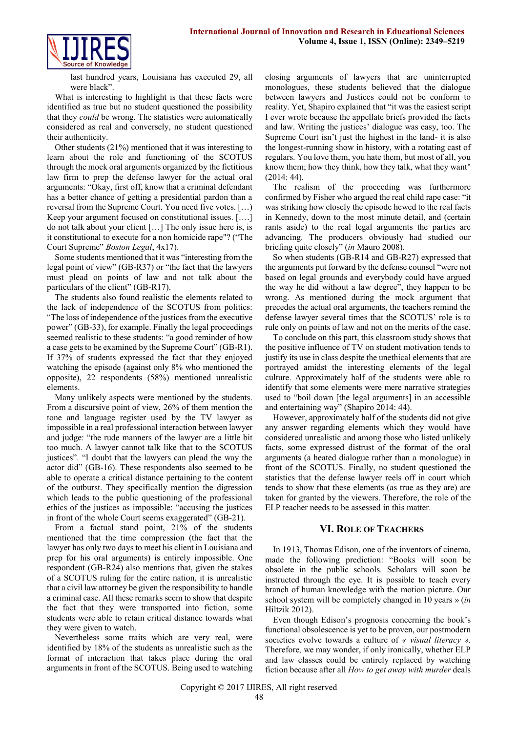

last hundred years, Louisiana has executed 29, all were black".

What is interesting to highlight is that these facts were identified as true but no student questioned the possibility that they *could* be wrong. The statistics were automatically considered as real and conversely, no student questioned their authenticity.

Other students (21%) mentioned that it was interesting to learn about the role and functioning of the SCOTUS through the mock oral arguments organized by the fictitious law firm to prep the defense lawyer for the actual oral arguments: "Okay, first off, know that a criminal defendant has a better chance of getting a presidential pardon than a reversal from the Supreme Court. You need five votes. […) Keep your argument focused on constitutional issues. [….] do not talk about your client […] The only issue here is, is it constitutional to execute for a non homicide rape"? ("The Court Supreme" *Boston Legal*, 4x17).

Some students mentioned that it was "interesting from the legal point of view" (GB-R37) or "the fact that the lawyers must plead on points of law and not talk about the particulars of the client" (GB-R17).

The students also found realistic the elements related to the lack of independence of the SCOTUS from politics: "The loss of independence of the justices from the executive power" (GB-33), for example. Finally the legal proceedings seemed realistic to these students: "a good reminder of how a case gets to be examined by the Supreme Court" (GB-R1). If 37% of students expressed the fact that they enjoyed watching the episode (against only 8% who mentioned the opposite), 22 respondents (58%) mentioned unrealistic elements.

Many unlikely aspects were mentioned by the students. From a discursive point of view, 26% of them mention the tone and language register used by the TV lawyer as impossible in a real professional interaction between lawyer and judge: "the rude manners of the lawyer are a little bit too much. A lawyer cannot talk like that to the SCOTUS justices". "I doubt that the lawyers can plead the way the actor did" (GB-16). These respondents also seemed to be able to operate a critical distance pertaining to the content of the outburst. They specifically mention the digression which leads to the public questioning of the professional ethics of the justices as impossible: "accusing the justices in front of the whole Court seems exaggerated" (GB-21).

From a factual stand point, 21% of the students mentioned that the time compression (the fact that the lawyer has only two days to meet his client in Louisiana and prep for his oral arguments) is entirely impossible. One respondent (GB-R24) also mentions that, given the stakes of a SCOTUS ruling for the entire nation, it is unrealistic that a civil law attorney be given the responsibility to handle a criminal case. All these remarks seem to show that despite the fact that they were transported into fiction, some students were able to retain critical distance towards what they were given to watch.

Nevertheless some traits which are very real, were identified by 18% of the students as unrealistic such as the format of interaction that takes place during the oral arguments in front of the SCOTUS. Being used to watching closing arguments of lawyers that are uninterrupted monologues, these students believed that the dialogue between lawyers and Justices could not be conform to reality. Yet, Shapiro explained that "it was the easiest script I ever wrote because the appellate briefs provided the facts and law. Writing the justices' dialogue was easy, too. The Supreme Court isn't just the highest in the land- it is also the longest-running show in history, with a rotating cast of regulars. You love them, you hate them, but most of all, you know them; how they think, how they talk, what they want" (2014: 44).

The realism of the proceeding was furthermore confirmed by Fisher who argued the real child rape case: "it was striking how closely the episode hewed to the real facts in Kennedy, down to the most minute detail, and (certain rants aside) to the real legal arguments the parties are advancing. The producers obviously had studied our briefing quite closely" (*in* Mauro 2008).

So when students (GB-R14 and GB-R27) expressed that the arguments put forward by the defense counsel "were not based on legal grounds and everybody could have argued the way he did without a law degree", they happen to be wrong. As mentioned during the mock argument that precedes the actual oral arguments, the teachers remind the defense lawyer several times that the SCOTUS' role is to rule only on points of law and not on the merits of the case.

To conclude on this part, this classroom study shows that the positive influence of TV on student motivation tends to justify its use in class despite the unethical elements that are portrayed amidst the interesting elements of the legal culture. Approximately half of the students were able to identify that some elements were mere narrative strategies used to "boil down [the legal arguments] in an accessible and entertaining way" (Shapiro 2014: 44).

However, approximately half of the students did not give any answer regarding elements which they would have considered unrealistic and among those who listed unlikely facts, some expressed distrust of the format of the oral arguments (a heated dialogue rather than a monologue) in front of the SCOTUS. Finally, no student questioned the statistics that the defense lawyer reels off in court which tends to show that these elements (as true as they are) are taken for granted by the viewers. Therefore, the role of the ELP teacher needs to be assessed in this matter.

#### **VI. ROLE OF TEACHERS**

In 1913, Thomas Edison, one of the inventors of cinema, made the following prediction: "Books will soon be obsolete in the public schools. Scholars will soon be instructed through the eye. It is possible to teach every branch of human knowledge with the motion picture. Our school system will be completely changed in 10 years » (*in* Hiltzik 2012).

Even though Edison's prognosis concerning the book's functional obsolescence is yet to be proven, our postmodern societies evolve towards a culture of *« visual literacy ».*  Therefore*,* we may wonder, if only ironically, whether ELP and law classes could be entirely replaced by watching fiction because after all *How to get away with murder* deals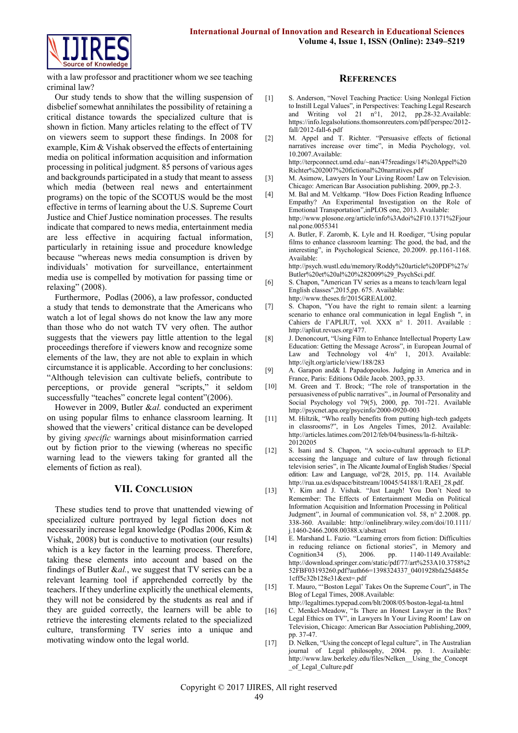

with a law professor and practitioner whom we see teaching criminal law?

Our study tends to show that the willing suspension of disbelief somewhat annihilates the possibility of retaining a critical distance towards the specialized culture that is shown in fiction. Many articles relating to the effect of TV on viewers seem to support these findings. In 2008 for example, Kim & Vishak observed the effects of entertaining media on political information acquisition and information processing in political judgment. 85 persons of various ages and backgrounds participated in a study that meant to assess which media (between real news and entertainment programs) on the topic of the SCOTUS would be the most effective in terms of learning about the U.S. Supreme Court Justice and Chief Justice nomination processes. The results indicate that compared to news media, entertainment media are less effective in acquiring factual information, particularly in retaining issue and procedure knowledge because "whereas news media consumption is driven by individuals' motivation for surveillance, entertainment media use is compelled by motivation for passing time or relaxing" (2008).

Furthermore, Podlas (2006), a law professor, conducted a study that tends to demonstrate that the Americans who watch a lot of legal shows do not know the law any more than those who do not watch TV very often. The author suggests that the viewers pay little attention to the legal proceedings therefore if viewers know and recognize some elements of the law, they are not able to explain in which circumstance it is applicable. According to her conclusions: "Although television can cultivate beliefs, contribute to perceptions, or provide general "scripts," it seldom successfully "teaches" concrete legal content" (2006).

However in 2009, Butler &*al.* conducted an experiment on using popular films to enhance classroom learning. It showed that the viewers' critical distance can be developed by giving *specific* warnings about misinformation carried out by fiction prior to the viewing (whereas no specific warning lead to the viewers taking for granted all the elements of fiction as real).

### **VII. CONCLUSION**

These studies tend to prove that unattended viewing of specialized culture portrayed by legal fiction does not necessarily increase legal knowledge (Podlas 2006, Kim & Vishak, 2008) but is conductive to motivation (our results) which is a key factor in the learning process. Therefore, taking these elements into account and based on the findings of Butler &*al.*, we suggest that TV series can be a relevant learning tool if apprehended correctly by the teachers. If they underline explicitly the unethical elements, they will not be considered by the students as real and if they are guided correctly, the learners will be able to retrieve the interesting elements related to the specialized culture, transforming TV series into a unique and motivating window onto the legal world.

#### **REFERENCES**

- [1] S. Anderson, "Novel Teaching Practice: Using Nonlegal Fiction to Instill Legal Values", in Perspectives: Teaching Legal Research and Writing vol 21 n°1, 2012, pp.28-32.Available: [https://info.legalsolutions.thomsonreuters.com/pdf/perspec/2012](https://info.legalsolutions.thomsonreuters.com/pdf/perspec/2012-fall/2012-fall-6.pdf) [fall/2012-fall-6.pdf](https://info.legalsolutions.thomsonreuters.com/pdf/perspec/2012-fall/2012-fall-6.pdf)
- [2] M. Appel and T. Richter. "Persuasive effects of fictional narratives increase over time", in Media Psychology, vol. 10.2007.Available: [http://terpconnect.umd.edu/~nan/475readings/14%20Appel%20](http://terpconnect.umd.edu/~nan/475readings/14%20Appel%20Richter%202007%20fictional%20narratives.pdf)

[Richter%202007%20fictional%20narratives.pdf](http://terpconnect.umd.edu/~nan/475readings/14%20Appel%20Richter%202007%20fictional%20narratives.pdf) [3] M. Asimow, Lawyers In Your Living Room! Law on Television.

- Chicago: American Bar Association publishing. 2009, pp.2-3.
- [4] M. Bal and M. Veltkamp. "How Does Fiction Reading Influence Empathy? An Experimental Investigation on the Role of Emotional Transportation",inPLOS one, 2013. Available: [http://www.plosone.org/article/info%3Adoi%2F10.1371%2Fjour](http://www.plosone.org/article/info%3Adoi%2F10.1371%2Fjournal.pone.0055341) [nal.pone.0055341](http://www.plosone.org/article/info%3Adoi%2F10.1371%2Fjournal.pone.0055341)
- [5] A. Butler, F. Zaromb, K. Lyle and H. Roediger, "Using popular films to enhance classroom learning: The good, the bad, and the interesting", in Psychological Science, 20.2009. pp.1161-1168. Available: [http://psych.wustl.edu/memory/Roddy%20article%20PDF%27s/](http://psych.wustl.edu/memory/Roddy%20article%20PDF%27s/Butler%20et%20al%20%282009%29_PsychSci.pdf)
- [Butler%20et%20al%20%282009%29\\_PsychSci.pdf.](http://psych.wustl.edu/memory/Roddy%20article%20PDF%27s/Butler%20et%20al%20%282009%29_PsychSci.pdf) [6] S. Chapon, "American TV series as a means to teach/learn legal English classes",2015,pp. 675. Available: [http://www.theses.fr/2015GREAL002.](http://www.theses.fr/2015GREAL002)
- [7] S. Chapon, "You have the right to remain silent: a learning scenario to enhance oral communication in legal English ", in Cahiers de l'APLIUT, vol. XXX n° 1. 2011. Available : [http://apliut.revues.org/477.](http://apliut.revues.org/477)
- [8] J. Denoncourt, "Using Film to Enhance Intellectual Property Law Education: Getting the Message Across", in European Journal of Law and Technology vol  $4/n^{\circ}$  1, 2013. Available: <http://ejlt.org/article/view/188/283>
- [9] A. Garapon and& I. Papadopoulos. Judging in America and in France, Paris: Editions Odile Jacob. 2003, pp.33.
- [10] M. Green and T. Brock; "The role of transportation in the persuasiveness of public narratives"., in Journal of Personality and Social Psychology vol 79(5), 2000, pp. 701-721. Available <http://psycnet.apa.org/psycinfo/2000-0920-003>
- [11] M. Hiltzik, "Who really benefits from putting high-tech gadgets in classrooms?", in Los Angeles Times, 2012. Available: [http://articles.latimes.com/2012/feb/04/business/la-fi-hiltzik-](http://articles.latimes.com/2012/feb/04/business/la-fi-hiltzik-20120205)[20120205](http://articles.latimes.com/2012/feb/04/business/la-fi-hiltzik-20120205)
- [12] S. Isani and S. Chapon, "A socio-cultural approach to ELP: accessing the language and culture of law through fictional television series", in The Alicante Journal of English Studies / Special edition: Law and Language, vol°28, 2015, pp. 114. Available http://rua.ua.es/dspace/bitstream/10045/54188/1/RAEI\_28.pdf.
- [13] Y. Kim and J. Vishak. "Just Laugh! You Don't Need to Remember: The Effects of Entertainment Media on Political Information Acquisition and Information Processing in Political Judgment", in Journal of communication vol. 58, n° 2.2008. pp. 338-360. Available: [http://onlinelibrary.wiley.com/doi/10.1111/](http://onlinelibrary.wiley.com/doi/10.1111/j.1460-2466.2008.00388.x/abstract) [j.1460-2466.2008.00388.x/abstract](http://onlinelibrary.wiley.com/doi/10.1111/j.1460-2466.2008.00388.x/abstract)
- [14] E. Marshand L. Fazio. "Learning errors from fiction: Difficulties in reducing reliance on fictional stories", in Memory and Cognition 34 (5), 2006. pp. 1140-1149. Available: Cognition34 (5), 2006. pp. 1140-1149.Available: [http://download.springer.com/static/pdf/77/art%253A10.3758%2](http://download.springer.com/static/pdf/77/art%253A10.3758%252FBF03193260.pdf?auth66=1398324337_0401928bfa25d485e1cff5c32b128e31&ext=.pdf) [52FBF03193260.pdf?auth66=1398324337\\_0401928bfa25d485e](http://download.springer.com/static/pdf/77/art%253A10.3758%252FBF03193260.pdf?auth66=1398324337_0401928bfa25d485e1cff5c32b128e31&ext=.pdf) [1cff5c32b128e31&ext=.pdf](http://download.springer.com/static/pdf/77/art%253A10.3758%252FBF03193260.pdf?auth66=1398324337_0401928bfa25d485e1cff5c32b128e31&ext=.pdf)
- [15] T. Mauro, "Boston Legal' Takes On the Supreme Court", in The Blog of Legal Times, 2008.Available:
	- <http://legaltimes.typepad.com/blt/2008/05/boston-legal-ta.html>
- [16] C. Menkel-Meadow, "Is There an Honest Lawyer in the Box? Legal Ethics on TV", in Lawyers In Your Living Room! Law on Television, Chicago: American Bar Association Publishing,2009, pp. 37-47.
- [17] D. Nelken, "Using the concept of legal culture", in The Australian journal of Legal philosophy, 2004. pp. 1. Available: http://www.law.berkeley.edu/files/Nelken\_ Using\_the\_Concept [\\_of\\_Legal\\_Culture.pdf](http://www.law.berkeley.edu/files/Nelken__Using_the_Concept_of_Legal_Culture.pdf)

Copyright © 2017 IJIRES, All right reserved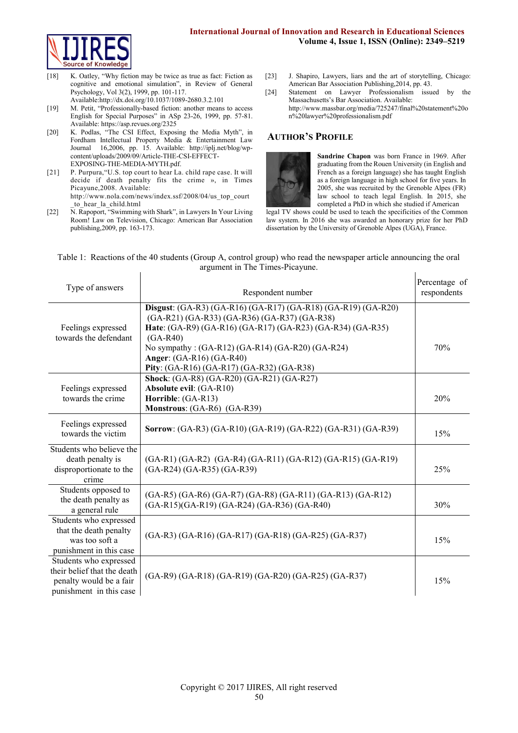

- [18] K. Oatley, "Why fiction may be twice as true as fact: Fiction as cognitive and emotional simulation", in Review of General Psychology, Vol 3(2), 1999, pp. 101-117. Availabl[e:http://dx.doi.org/10.1037/1089-2680.3.2.101](http://dx.doi.org/10.1037/1089-2680.3.2.101)
- [19] M. Petit, "Professionally-based fiction: another means to access English for Special Purposes" in ASp 23-26, 1999, pp. 57-81. Available[: https://asp.revues.org/2325](https://asp.revues.org/2325)
- [20] K. Podlas, "The CSI Effect, Exposing the Media Myth", in Fordham Intellectual Property Media & Entertainment Law Journal 16,2006, pp. 15. Available: [http://iplj.net/blog/wp](http://iplj.net/blog/wp-content/uploads/2009/09/Article-THE-CSI-EFFECT-EXPOSING-THE-MEDIA-MYTH.pdf)[content/uploads/2009/09/Article-THE-CSI-EFFECT-](http://iplj.net/blog/wp-content/uploads/2009/09/Article-THE-CSI-EFFECT-EXPOSING-THE-MEDIA-MYTH.pdf)[EXPOSING-THE-MEDIA-MYTH.pdf.](http://iplj.net/blog/wp-content/uploads/2009/09/Article-THE-CSI-EFFECT-EXPOSING-THE-MEDIA-MYTH.pdf)
- [21] P. Purpura, "U.S. top court to hear La. child rape case. It will decide if death penalty fits the crime », in Times Picayune,2008. Available: [http://www.nola.com/news/index.ssf/2008/04/us\\_top\\_court](http://www.nola.com/news/index.ssf/2008/04/us_top_court_to_hear_la_child.html) [\\_to\\_hear\\_la\\_child.html](http://www.nola.com/news/index.ssf/2008/04/us_top_court_to_hear_la_child.html)
- [22] N. Rapoport, "Swimming with Shark", in Lawyers In Your Living Room! Law on Television, Chicago: American Bar Association publishing,2009, pp. 163-173.
- [23] J. Shapiro, Lawyers, liars and the art of storytelling, Chicago: American Bar Association Publishing,2014, pp. 43.
- [24] Statement on Lawyer Professionalism issued by the Massachusetts's Bar Association. Available: [http://www.massbar.org/media/725247/final%20statement%20o](http://www.massbar.org/media/725247/final%20statement%20on%20lawyer%20professionalism.pdf) [n%20lawyer%20professionalism.pdf](http://www.massbar.org/media/725247/final%20statement%20on%20lawyer%20professionalism.pdf)

# **AUTHOR'S PROFILE**



**Sandrine Chapon** was born France in 1969. After graduating from the Rouen University (in English and French as a foreign language) she has taught English as a foreign language in high school for five years. In 2005, she was recruited by the Grenoble Alpes (FR) law school to teach legal English. In 2015, she completed a PhD in which she studied if American

legal TV shows could be used to teach the specificities of the Common law system. In 2016 she was awarded an honorary prize for her PhD dissertation by the University of Grenoble Alpes (UGA), France.

#### Table 1: Reactions of the 40 students (Group A, control group) who read the newspaper article announcing the oral argument in The Times-Picayune.  $\mathbf{I}$  $\mathbf{I}$

| Type of answers                                                                                             | Respondent number                                                                                                                                                                                                                                                                                                             | Percentage of<br>respondents |
|-------------------------------------------------------------------------------------------------------------|-------------------------------------------------------------------------------------------------------------------------------------------------------------------------------------------------------------------------------------------------------------------------------------------------------------------------------|------------------------------|
| Feelings expressed<br>towards the defendant                                                                 | Disgust: (GA-R3) (GA-R16) (GA-R17) (GA-R18) (GA-R19) (GA-R20)<br>(GA-R21) (GA-R33) (GA-R36) (GA-R37) (GA-R38)<br>Hate: (GA-R9) (GA-R16) (GA-R17) (GA-R23) (GA-R34) (GA-R35)<br>$(GA-R40)$<br>No sympathy: (GA-R12) (GA-R14) (GA-R20) (GA-R24)<br><b>Anger:</b> (GA-R16) (GA-R40)<br>Pity: (GA-R16) (GA-R17) (GA-R32) (GA-R38) | 70%                          |
| Feelings expressed<br>towards the crime                                                                     | Shock: (GA-R8) (GA-R20) (GA-R21) (GA-R27)<br>Absolute evil: (GA-R10)<br>Horrible: (GA-R13)<br>Monstrous: (GA-R6) (GA-R39)                                                                                                                                                                                                     | 20%                          |
| Feelings expressed<br>towards the victim                                                                    | Sorrow: (GA-R3) (GA-R10) (GA-R19) (GA-R22) (GA-R31) (GA-R39)                                                                                                                                                                                                                                                                  | 15%                          |
| Students who believe the<br>death penalty is<br>disproportionate to the<br>crime                            | (GA-R1) (GA-R2) (GA-R4) (GA-R11) (GA-R12) (GA-R15) (GA-R19)<br>(GA-R24) (GA-R35) (GA-R39)                                                                                                                                                                                                                                     | 25%                          |
| Students opposed to<br>the death penalty as<br>a general rule                                               | (GA-R5) (GA-R6) (GA-R7) (GA-R8) (GA-R11) (GA-R13) (GA-R12)<br>(GA-R15)(GA-R19) (GA-R24) (GA-R36) (GA-R40)                                                                                                                                                                                                                     | 30%                          |
| Students who expressed<br>that the death penalty<br>was too soft a<br>punishment in this case               | (GA-R3) (GA-R16) (GA-R17) (GA-R18) (GA-R25) (GA-R37)                                                                                                                                                                                                                                                                          | 15%                          |
| Students who expressed<br>their belief that the death<br>penalty would be a fair<br>punishment in this case | (GA-R9) (GA-R18) (GA-R19) (GA-R20) (GA-R25) (GA-R37)                                                                                                                                                                                                                                                                          | 15%                          |